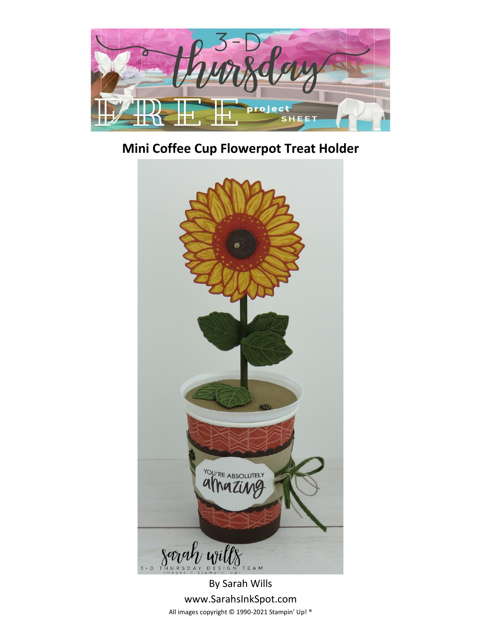

## **Mini Coffee Cup Flowerpot Treat Holder**



By Sarah Wills www.SarahsInkSpot.com All images copyright © 1990-2021 Stampin' Up! ®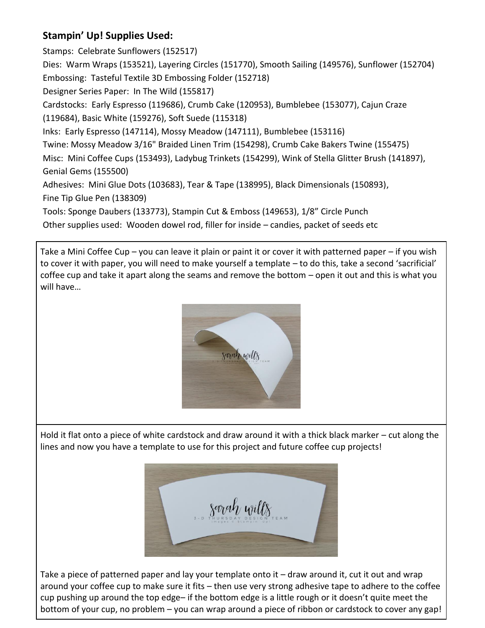## **Stampin' Up! Supplies Used:**

Stamps: Celebrate Sunflowers (152517) Dies: Warm Wraps (153521), Layering Circles (151770), Smooth Sailing (149576), Sunflower (152704) Embossing: Tasteful Textile 3D Embossing Folder (152718) Designer Series Paper: In The Wild (155817) Cardstocks: Early Espresso (119686), Crumb Cake (120953), Bumblebee (153077), Cajun Craze (119684), Basic White (159276), Soft Suede (115318) Inks: Early Espresso (147114), Mossy Meadow (147111), Bumblebee (153116) Twine: Mossy Meadow 3/16" Braided Linen Trim (154298), Crumb Cake Bakers Twine (155475) Misc: Mini Coffee Cups (153493), Ladybug Trinkets (154299), Wink of Stella Glitter Brush (141897), Genial Gems (155500) Adhesives: Mini Glue Dots (103683), Tear & Tape (138995), Black Dimensionals (150893), Fine Tip Glue Pen (138309) Tools: Sponge Daubers (133773), Stampin Cut & Emboss (149653), 1/8" Circle Punch Other supplies used: Wooden dowel rod, filler for inside – candies, packet of seeds etc

Take a Mini Coffee Cup – you can leave it plain or paint it or cover it with patterned paper – if you wish to cover it with paper, you will need to make yourself a template – to do this, take a second 'sacrificial' coffee cup and take it apart along the seams and remove the bottom – open it out and this is what you will have…



Hold it flat onto a piece of white cardstock and draw around it with a thick black marker – cut along the lines and now you have a template to use for this project and future coffee cup projects!



Take a piece of patterned paper and lay your template onto it – draw around it, cut it out and wrap around your coffee cup to make sure it fits – then use very strong adhesive tape to adhere to the coffee cup pushing up around the top edge– if the bottom edge is a little rough or it doesn't quite meet the bottom of your cup, no problem – you can wrap around a piece of ribbon or cardstock to cover any gap!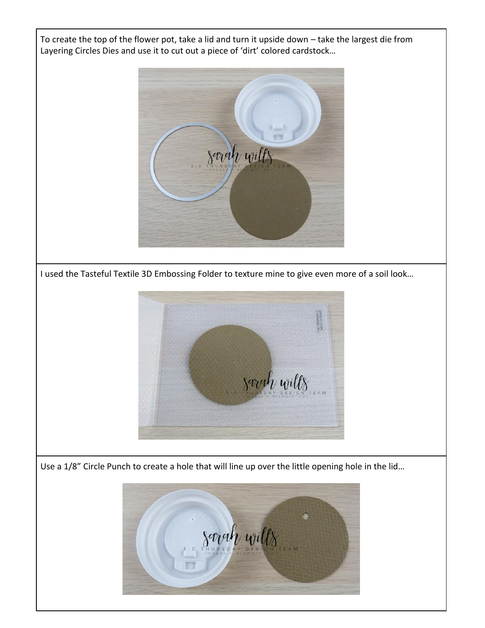To create the top of the flower pot, take a lid and turn it upside down – take the largest die from Layering Circles Dies and use it to cut out a piece of 'dirt' colored cardstock…



I used the Tasteful Textile 3D Embossing Folder to texture mine to give even more of a soil look…



Use a 1/8" Circle Punch to create a hole that will line up over the little opening hole in the lid…

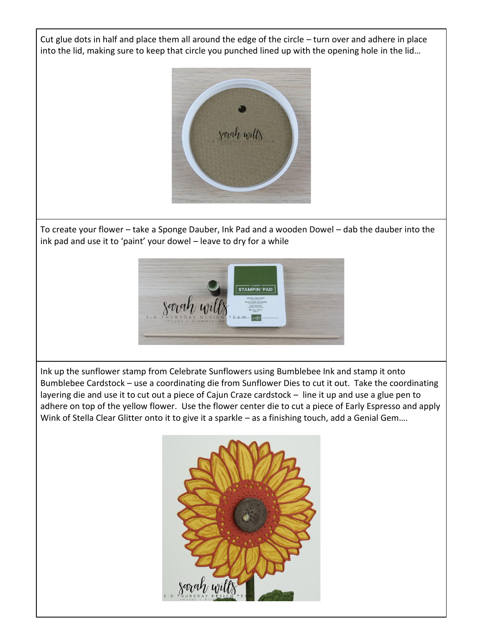Cut glue dots in half and place them all around the edge of the circle – turn over and adhere in place into the lid, making sure to keep that circle you punched lined up with the opening hole in the lid…



To create your flower – take a Sponge Dauber, Ink Pad and a wooden Dowel – dab the dauber into the ink pad and use it to 'paint' your dowel – leave to dry for a while



Ink up the sunflower stamp from Celebrate Sunflowers using Bumblebee Ink and stamp it onto Bumblebee Cardstock – use a coordinating die from Sunflower Dies to cut it out. Take the coordinating layering die and use it to cut out a piece of Cajun Craze cardstock – line it up and use a glue pen to adhere on top of the yellow flower. Use the flower center die to cut a piece of Early Espresso and apply Wink of Stella Clear Glitter onto it to give it a sparkle - as a finishing touch, add a Genial Gem....

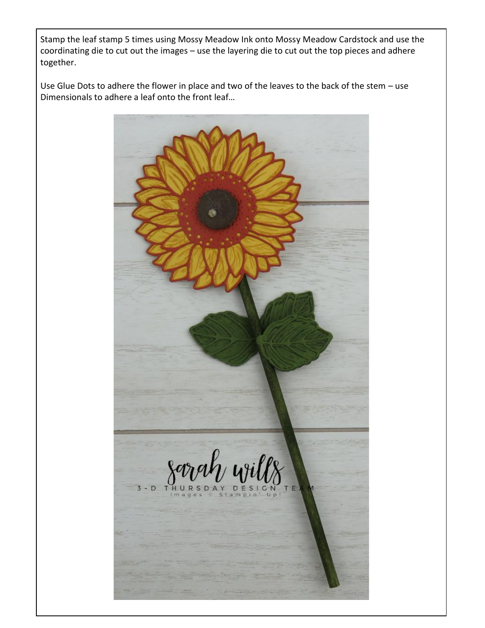Stamp the leaf stamp 5 times using Mossy Meadow Ink onto Mossy Meadow Cardstock and use the coordinating die to cut out the images – use the layering die to cut out the top pieces and adhere together.

Use Glue Dots to adhere the flower in place and two of the leaves to the back of the stem – use Dimensionals to adhere a leaf onto the front leaf…